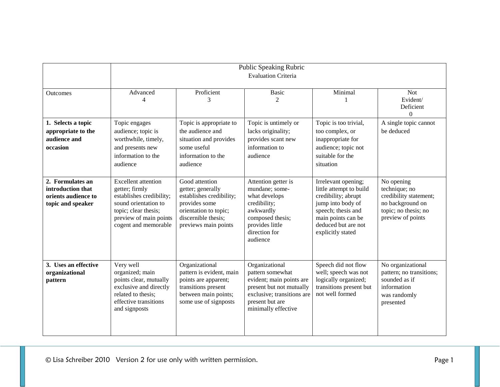|                                                                                   | <b>Public Speaking Rubric</b><br><b>Evaluation Criteria</b>                                                                                                                |                                                                                                                                                          |                                                                                                                                                                    |                                                                                                                                                                                    |                                                                                                                        |
|-----------------------------------------------------------------------------------|----------------------------------------------------------------------------------------------------------------------------------------------------------------------------|----------------------------------------------------------------------------------------------------------------------------------------------------------|--------------------------------------------------------------------------------------------------------------------------------------------------------------------|------------------------------------------------------------------------------------------------------------------------------------------------------------------------------------|------------------------------------------------------------------------------------------------------------------------|
| Outcomes                                                                          | Advanced<br>4                                                                                                                                                              | Proficient<br>3                                                                                                                                          | <b>Basic</b><br>$\mathfrak{D}$                                                                                                                                     | Minimal                                                                                                                                                                            | <b>Not</b><br>Evident/<br>Deficient<br>$\Omega$                                                                        |
| 1. Selects a topic<br>appropriate to the<br>audience and<br>occasion              | Topic engages<br>audience; topic is<br>worthwhile, timely,<br>and presents new<br>information to the<br>audience                                                           | Topic is appropriate to<br>the audience and<br>situation and provides<br>some useful<br>information to the<br>audience                                   | Topic is untimely or<br>lacks originality;<br>provides scant new<br>information to<br>audience                                                                     | Topic is too trivial,<br>too complex, or<br>inappropriate for<br>audience; topic not<br>suitable for the<br>situation                                                              | A single topic cannot<br>be deduced                                                                                    |
| 2. Formulates an<br>introduction that<br>orients audience to<br>topic and speaker | <b>Excellent</b> attention<br>getter; firmly<br>establishes credibility;<br>sound orientation to<br>topic; clear thesis;<br>preview of main points<br>cogent and memorable | Good attention<br>getter; generally<br>establishes credibility;<br>provides some<br>orientation to topic;<br>discernible thesis;<br>previews main points | Attention getter is<br>mundane; some-<br>what develops<br>credibility;<br>awkwardly<br>composed thesis;<br>provides little<br>direction for<br>audience            | Irrelevant opening;<br>little attempt to build<br>credibility; abrupt<br>jump into body of<br>speech; thesis and<br>main points can be<br>deduced but are not<br>explicitly stated | No opening<br>technique; no<br>credibility statement;<br>no background on<br>topic; no thesis; no<br>preview of points |
| 3. Uses an effective<br>organizational<br>pattern                                 | Very well<br>organized; main<br>points clear, mutually<br>exclusive and directly<br>related to thesis;<br>effective transitions<br>and signposts                           | Organizational<br>pattern is evident, main<br>points are apparent;<br>transitions present<br>between main points;<br>some use of signposts               | Organizational<br>pattern somewhat<br>evident; main points are<br>present but not mutually<br>exclusive; transitions are<br>present but are<br>minimally effective | Speech did not flow<br>well; speech was not<br>logically organized;<br>transitions present but<br>not well formed                                                                  | No organizational<br>pattern; no transitions;<br>sounded as if<br>information<br>was randomly<br>presented             |

© Lisa Schreiber 2010 Version 2 for use only with written permission. Page 1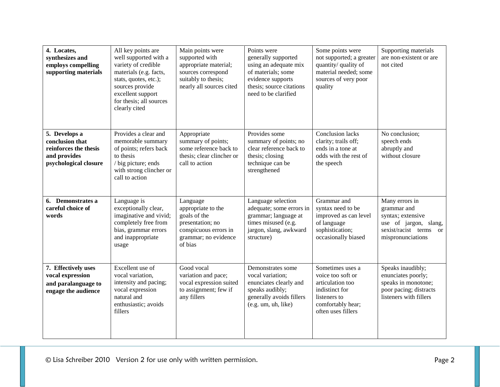| 4. Locates,<br>synthesizes and<br>employs compelling<br>supporting materials                       | All key points are<br>well supported with a<br>variety of credible<br>materials (e.g. facts,<br>stats, quotes, etc.);<br>sources provide<br>excellent support<br>for thesis; all sources<br>clearly cited | Main points were<br>supported with<br>appropriate material;<br>sources correspond<br>suitably to thesis;<br>nearly all sources cited | Points were<br>generally supported<br>using an adequate mix<br>of materials; some<br>evidence supports<br>thesis; source citations<br>need to be clarified | Some points were<br>not supported; a greater<br>quantity/ quality of<br>material needed; some<br>sources of very poor<br>quality       | Supporting materials<br>are non-existent or are<br>not cited                                                               |
|----------------------------------------------------------------------------------------------------|-----------------------------------------------------------------------------------------------------------------------------------------------------------------------------------------------------------|--------------------------------------------------------------------------------------------------------------------------------------|------------------------------------------------------------------------------------------------------------------------------------------------------------|----------------------------------------------------------------------------------------------------------------------------------------|----------------------------------------------------------------------------------------------------------------------------|
| 5. Develops a<br>conclusion that<br>reinforces the thesis<br>and provides<br>psychological closure | Provides a clear and<br>memorable summary<br>of points; refers back<br>to thesis<br>/ big picture; ends<br>with strong clincher or<br>call to action                                                      | Appropriate<br>summary of points;<br>some reference back to<br>thesis; clear clincher or<br>call to action                           | Provides some<br>summary of points; no<br>clear reference back to<br>thesis; closing<br>technique can be<br>strengthened                                   | <b>Conclusion lacks</b><br>clarity; trails off;<br>ends in a tone at<br>odds with the rest of<br>the speech                            | No conclusion;<br>speech ends<br>abruptly and<br>without closure                                                           |
| 6. Demonstrates a<br>careful choice of<br>words                                                    | Language is<br>exceptionally clear,<br>imaginative and vivid;<br>completely free from<br>bias, grammar errors<br>and inappropriate<br>usage                                                               | Language<br>appropriate to the<br>goals of the<br>presentation; no<br>conspicuous errors in<br>grammar; no evidence<br>of bias       | Language selection<br>adequate; some errors in<br>grammar; language at<br>times misused (e.g.<br>jargon, slang, awkward<br>structure)                      | Grammar and<br>syntax need to be<br>improved as can level<br>of language<br>sophistication;<br>occasionally biased                     | Many errors in<br>grammar and<br>syntax; extensive<br>use of jargon, slang,<br>sexist/racist terms or<br>mispronunciations |
| 7. Effectively uses<br>vocal expression<br>and paralanguage to<br>engage the audience              | Excellent use of<br>vocal variation,<br>intensity and pacing;<br>vocal expression<br>natural and<br>enthusiastic; avoids<br>fillers                                                                       | Good vocal<br>variation and pace;<br>vocal expression suited<br>to assignment; few if<br>any fillers                                 | Demonstrates some<br>vocal variation;<br>enunciates clearly and<br>speaks audibly;<br>generally avoids fillers<br>(e.g. um, uh, like)                      | Sometimes uses a<br>voice too soft or<br>articulation too<br>indistinct for<br>listeners to<br>comfortably hear;<br>often uses fillers | Speaks inaudibly;<br>enunciates poorly;<br>speaks in monotone;<br>poor pacing; distracts<br>listeners with fillers         |

© Lisa Schreiber 2010 Version 2 for use only with written permission. Page 2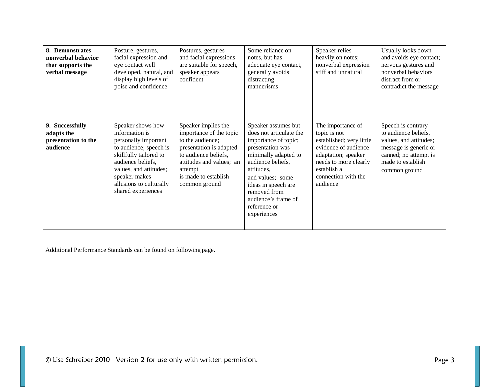| 8. Demonstrates<br>nonverbal behavior<br>that supports the<br>verbal message | Posture, gestures,<br>facial expression and<br>eye contact well<br>developed, natural, and<br>display high levels of<br>poise and confidence                                                                                     | Postures, gestures<br>and facial expressions<br>are suitable for speech,<br>speaker appears<br>confident                                                                                              | Some reliance on<br>notes, but has<br>adequate eye contact,<br>generally avoids<br>distracting<br>mannerisms                                                                                                                                                           | Speaker relies<br>heavily on notes;<br>nonverbal expression<br>stiff and unnatural                                                                                                      | Usually looks down<br>and avoids eye contact;<br>nervous gestures and<br>nonverbal behaviors<br>distract from or<br>contradict the message                   |
|------------------------------------------------------------------------------|----------------------------------------------------------------------------------------------------------------------------------------------------------------------------------------------------------------------------------|-------------------------------------------------------------------------------------------------------------------------------------------------------------------------------------------------------|------------------------------------------------------------------------------------------------------------------------------------------------------------------------------------------------------------------------------------------------------------------------|-----------------------------------------------------------------------------------------------------------------------------------------------------------------------------------------|--------------------------------------------------------------------------------------------------------------------------------------------------------------|
| 9. Successfully<br>adapts the<br>presentation to the<br>audience             | Speaker shows how<br>information is<br>personally important<br>to audience; speech is<br>skillfully tailored to<br>audience beliefs,<br>values, and attitudes;<br>speaker makes<br>allusions to culturally<br>shared experiences | Speaker implies the<br>importance of the topic<br>to the audience;<br>presentation is adapted<br>to audience beliefs,<br>attitudes and values; an<br>attempt<br>is made to establish<br>common ground | Speaker assumes but<br>does not articulate the<br>importance of topic;<br>presentation was<br>minimally adapted to<br>audience beliefs,<br>attitudes,<br>and values; some<br>ideas in speech are<br>removed from<br>audience's frame of<br>reference or<br>experiences | The importance of<br>topic is not<br>established; very little<br>evidence of audience<br>adaptation; speaker<br>needs to more clearly<br>establish a<br>connection with the<br>audience | Speech is contrary<br>to audience beliefs,<br>values, and attitudes;<br>message is generic or<br>canned; no attempt is<br>made to establish<br>common ground |

Additional Performance Standards can be found on following page.